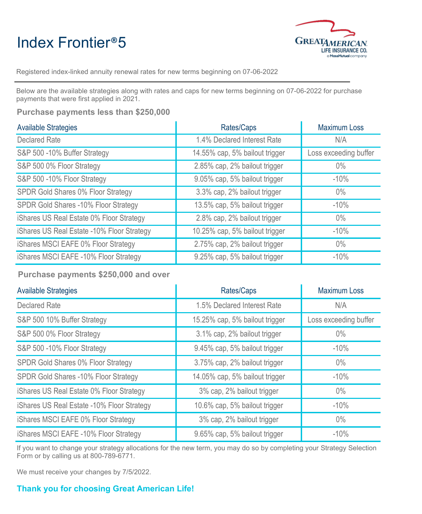## Index Frontier®5



Registered index-linked annuity renewal rates for new terms beginning on 07-06-2022

Below are the available strategies along with rates and caps for new terms beginning on 07-06-2022 for purchase payments that were first applied in 2021.

**Purchase payments less than \$250,000**

| <b>Available Strategies</b>                | Rates/Caps                     | <b>Maximum Loss</b>   |
|--------------------------------------------|--------------------------------|-----------------------|
| <b>Declared Rate</b>                       | 1.4% Declared Interest Rate    | N/A                   |
| S&P 500 -10% Buffer Strategy               | 14.55% cap, 5% bailout trigger | Loss exceeding buffer |
| S&P 500 0% Floor Strategy                  | 2.85% cap, 2% bailout trigger  | $0\%$                 |
| S&P 500 -10% Floor Strategy                | 9.05% cap, 5% bailout trigger  | $-10%$                |
| SPDR Gold Shares 0% Floor Strategy         | 3.3% cap, 2% bailout trigger   | $0\%$                 |
| SPDR Gold Shares -10% Floor Strategy       | 13.5% cap, 5% bailout trigger  | $-10%$                |
| iShares US Real Estate 0% Floor Strategy   | 2.8% cap, 2% bailout trigger   | $0\%$                 |
| iShares US Real Estate -10% Floor Strategy | 10.25% cap, 5% bailout trigger | $-10%$                |
| iShares MSCI EAFE 0% Floor Strategy        | 2.75% cap, 2% bailout trigger  | $0\%$                 |
| iShares MSCI EAFE -10% Floor Strategy      | 9.25% cap, 5% bailout trigger  | $-10%$                |

**Purchase payments \$250,000 and over**

| <b>Available Strategies</b>                | Rates/Caps                     | <b>Maximum Loss</b>   |
|--------------------------------------------|--------------------------------|-----------------------|
| <b>Declared Rate</b>                       | 1.5% Declared Interest Rate    | N/A                   |
| S&P 500 10% Buffer Strategy                | 15.25% cap, 5% bailout trigger | Loss exceeding buffer |
| S&P 500 0% Floor Strategy                  | 3.1% cap, 2% bailout trigger   | $0\%$                 |
| S&P 500 -10% Floor Strategy                | 9.45% cap, 5% bailout trigger  | $-10%$                |
| SPDR Gold Shares 0% Floor Strategy         | 3.75% cap, 2% bailout trigger  | $0\%$                 |
| SPDR Gold Shares - 10% Floor Strategy      | 14.05% cap, 5% bailout trigger | $-10%$                |
| iShares US Real Estate 0% Floor Strategy   | 3% cap, 2% bailout trigger     | $0\%$                 |
| iShares US Real Estate -10% Floor Strategy | 10.6% cap, 5% bailout trigger  | $-10%$                |
| iShares MSCI EAFE 0% Floor Strategy        | 3% cap, 2% bailout trigger     | $0\%$                 |
| iShares MSCI EAFE -10% Floor Strategy      | 9.65% cap, 5% bailout trigger  | $-10%$                |

If you want to change your strategy allocations for the new term, you may do so by completing your Strategy Selection Form or by calling us at 800-789-6771.

We must receive your changes by 7/5/2022.

## **Thank you for choosing Great American Life!**